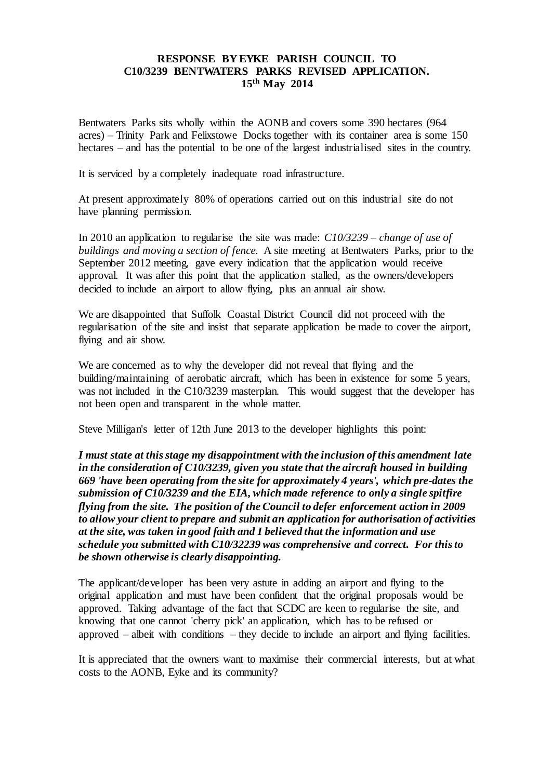## **RESPONSE BY EYKE PARISH COUNCIL TO C10/3239 BENTWATERS PARKS REVISED APPLICATION. 15th May 2014**

Bentwaters Parks sits wholly within the AONB and covers some 390 hectares (964 acres) – Trinity Park and Felixstowe Docks together with its container area is some 150 hectares – and has the potential to be one of the largest industrialised sites in the country.

It is serviced by a completely inadequate road infrastructure.

At present approximately 80% of operations carried out on this industrial site do not have planning permission.

In 2010 an application to regularise the site was made: *C10/3239 – change of use of buildings and moving a section of fence.* A site meeting at Bentwaters Parks, prior to the September 2012 meeting, gave every indication that the application would receive approval. It was after this point that the application stalled, as the owners/developers decided to include an airport to allow flying, plus an annual air show.

We are disappointed that Suffolk Coastal District Council did not proceed with the regularisation of the site and insist that separate application be made to cover the airport, flying and air show.

We are concerned as to why the developer did not reveal that flying and the building/maintaining of aerobatic aircraft, which has been in existence for some 5 years, was not included in the C10/3239 masterplan. This would suggest that the developer has not been open and transparent in the whole matter.

Steve Milligan's letter of 12th June 2013 to the developer highlights this point:

*I must state at this stage my disappointment with the inclusion of this amendment late in the consideration of C10/3239, given you state that the aircraft housed in building 669 'have been operating from the site for approximately 4 years', which pre-dates the submission of C10/3239 and the EIA, which made reference to only a single spitfire flying from the site. The position of the Council to defer enforcement action in 2009 to allow your client to prepare and submit an application for authorisation of activities at the site, was taken in good faith and I believed that the information and use schedule you submitted with C10/32239 was comprehensive and correct. For this to be shown otherwise is clearly disappointing.*

The applicant/developer has been very astute in adding an airport and flying to the original application and must have been confident that the original proposals would be approved. Taking advantage of the fact that SCDC are keen to regularise the site, and knowing that one cannot 'cherry pick' an application, which has to be refused or approved – albeit with conditions – they decide to include an airport and flying facilities.

It is appreciated that the owners want to maximise their commercial interests, but at what costs to the AONB, Eyke and its community?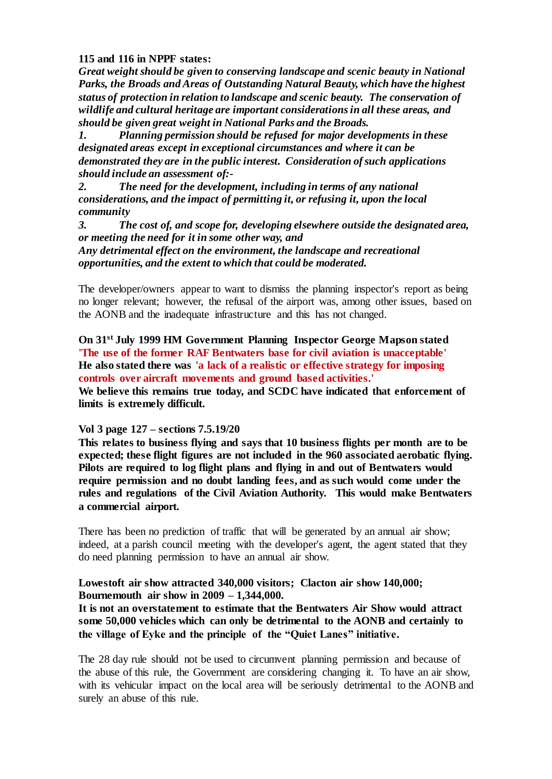## **115 and 116 in NPPF states:**

*Great weight should be given to conserving landscape and scenic beauty in National Parks, the Broads and Areas of Outstanding Natural Beauty, which have the highest status of protection in relation to landscape and scenic beauty. The conservation of wildlife and cultural heritage are important considerations in all these areas, and should be given great weight in National Parks and the Broads.*

*1. Planning permission should be refused for major developments in these designated areas except in exceptional circumstances and where it can be demonstrated they are in the public interest. Consideration of such applications should include an assessment of:-*

*2. The need for the development, including in terms of any national considerations, and the impact of permitting it, or refusing it, upon the local community*

*3. The cost of, and scope for, developing elsewhere outside the designated area, or meeting the need for it in some other way, and*

*Any detrimental effect on the environment, the landscape and recreational opportunities, and the extent to which that could be moderated.*

The developer/owners appear to want to dismiss the planning inspector's report as being no longer relevant; however, the refusal of the airport was, among other issues, based on the AONB and the inadequate infrastructure and this has not changed.

**On 31st July 1999 HM Government Planning Inspector George Mapson stated 'The use of the former RAF Bentwaters base for civil aviation is unacceptable' He also stated there was 'a lack of a realistic or effective strategy for imposing controls over aircraft movements and ground based activities.' We believe this remains true today, and SCDC have indicated that enforcement of limits is extremely difficult.**

## **Vol 3 page 127 – sections 7.5.19/20**

**This relates to business flying and says that 10 business flights per month are to be expected; these flight figures are not included in the 960 associated aerobatic flying. Pilots are required to log flight plans and flying in and out of Bentwaters would require permission and no doubt landing fees, and as such would come under the rules and regulations of the Civil Aviation Authority. This would make Bentwaters a commercial airport.**

There has been no prediction of traffic that will be generated by an annual air show; indeed, at a parish council meeting with the developer's agent, the agent stated that they do need planning permission to have an annual air show.

## **Lowestoft air show attracted 340,000 visitors; Clacton air show 140,000; Bournemouth air show in 2009 – 1,344,000.**

**It is not an overstatement to estimate that the Bentwaters Air Show would attract some 50,000 vehicles which can only be detrimental to the AONB and certainly to the village of Eyke and the principle of the "Quiet Lanes" initiative.**

The 28 day rule should not be used to circumvent planning permission and because of the abuse of this rule, the Government are considering changing it. To have an air show, with its vehicular impact on the local area will be seriously detrimental to the AONB and surely an abuse of this rule.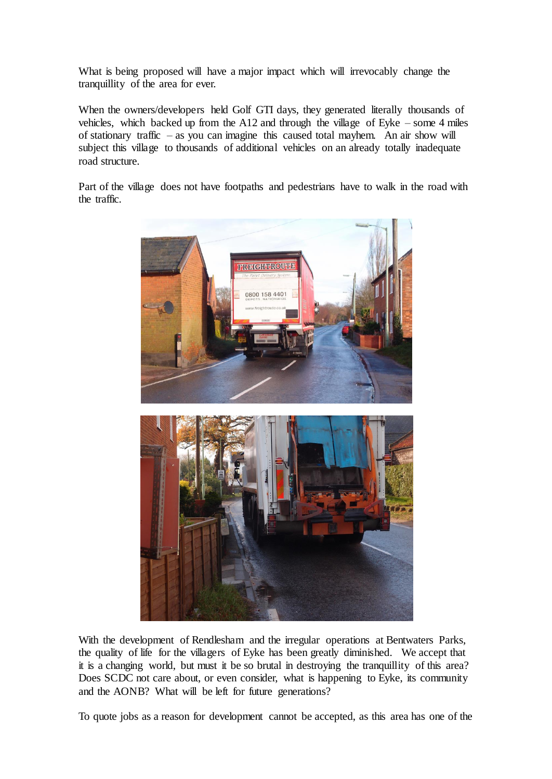What is being proposed will have a major impact which will irrevocably change the tranquillity of the area for ever.

When the owners/developers held Golf GTI days, they generated literally thousands of vehicles, which backed up from the A12 and through the village of Eyke – some 4 miles of stationary traffic – as you can imagine this caused total mayhem. An air show will subject this village to thousands of additional vehicles on an already totally inadequate road structure.

Part of the village does not have footpaths and pedestrians have to walk in the road with the traffic.



With the development of Rendlesham and the irregular operations at Bentwaters Parks, the quality of life for the villagers of Eyke has been greatly diminished. We accept that it is a changing world, but must it be so brutal in destroying the tranquillity of this area? Does SCDC not care about, or even consider, what is happening to Eyke, its community and the AONB? What will be left for future generations?

To quote jobs as a reason for development cannot be accepted, as this area has one of the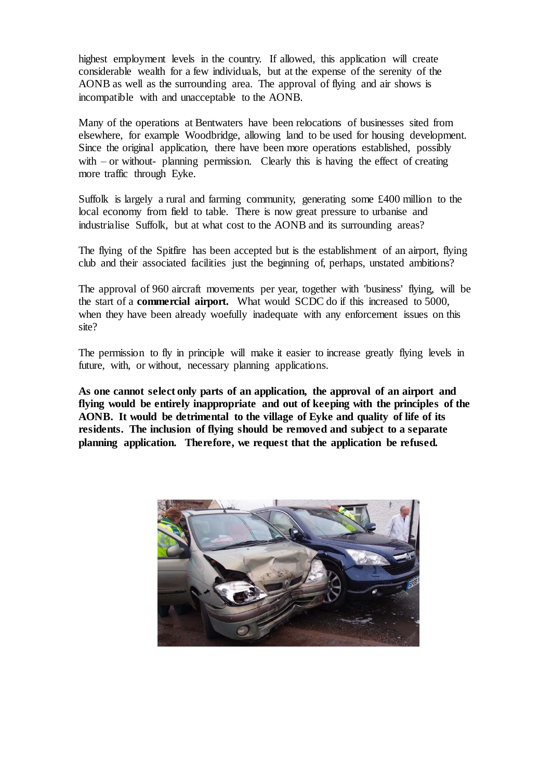highest employment levels in the country. If allowed, this application will create considerable wealth for a few individuals, but at the expense of the serenity of the AONB as well as the surrounding area. The approval of flying and air shows is incompatible with and unacceptable to the AONB.

Many of the operations at Bentwaters have been relocations of businesses sited from elsewhere, for example Woodbridge, allowing land to be used for housing development. Since the original application, there have been more operations established, possibly with – or without- planning permission. Clearly this is having the effect of creating more traffic through Eyke.

Suffolk is largely a rural and farming community, generating some £400 million to the local economy from field to table. There is now great pressure to urbanise and industrialise Suffolk, but at what cost to the AONB and its surrounding areas?

The flying of the Spitfire has been accepted but is the establishment of an airport, flying club and their associated facilities just the beginning of, perhaps, unstated ambitions?

The approval of 960 aircraft movements per year, together with 'business' flying, will be the start of a **commercial airport.** What would SCDC do if this increased to 5000, when they have been already woefully inadequate with any enforcement issues on this site?

The permission to fly in principle will make it easier to increase greatly flying levels in future, with, or without, necessary planning applications.

**As one cannot select only parts of an application, the approval of an airport and flying would be entirely inappropriate and out of keeping with the principles of the AONB. It would be detrimental to the village of Eyke and quality of life of its residents. The inclusion of flying should be removed and subject to a separate planning application. Therefore, we request that the application be refused.**